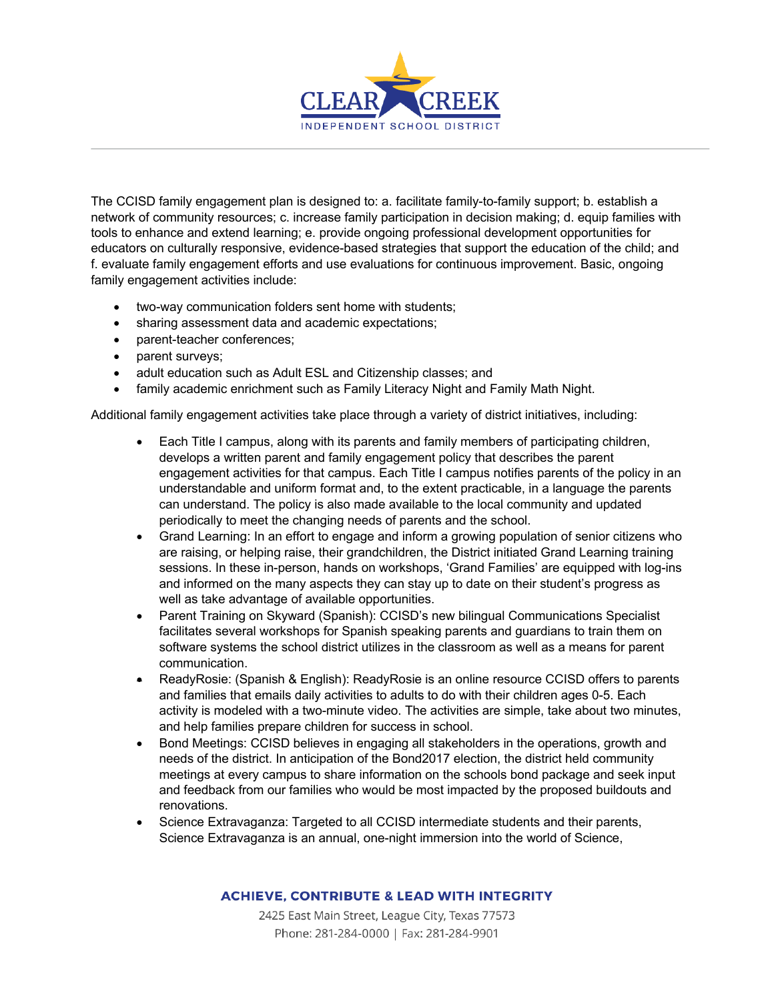

The CCISD family engagement plan is designed to: a. facilitate family-to-family support; b. establish a network of community resources; c. increase family participation in decision making; d. equip families with tools to enhance and extend learning; e. provide ongoing professional development opportunities for educators on culturally responsive, evidence-based strategies that support the education of the child; and f. evaluate family engagement efforts and use evaluations for continuous improvement. Basic, ongoing family engagement activities include:

- two-way communication folders sent home with students;
- sharing assessment data and academic expectations;
- parent-teacher conferences;
- parent surveys;
- adult education such as Adult ESL and Citizenship classes; and
- family academic enrichment such as Family Literacy Night and Family Math Night.

Additional family engagement activities take place through a variety of district initiatives, including:

- Each Title I campus, along with its parents and family members of participating children, develops a written parent and family engagement policy that describes the parent engagement activities for that campus. Each Title I campus notifies parents of the policy in an understandable and uniform format and, to the extent practicable, in a language the parents can understand. The policy is also made available to the local community and updated periodically to meet the changing needs of parents and the school.
- Grand Learning: In an effort to engage and inform a growing population of senior citizens who are raising, or helping raise, their grandchildren, the District initiated Grand Learning training sessions. In these in-person, hands on workshops, 'Grand Families' are equipped with log-ins and informed on the many aspects they can stay up to date on their student's progress as well as take advantage of available opportunities.
- Parent Training on Skyward (Spanish): CCISD's new bilingual Communications Specialist facilitates several workshops for Spanish speaking parents and guardians to train them on software systems the school district utilizes in the classroom as well as a means for parent communication.
- ReadyRosie: (Spanish & English): ReadyRosie is an online resource CCISD offers to parents and families that emails daily activities to adults to do with their children ages 0-5. Each activity is modeled with a two-minute video. The activities are simple, take about two minutes, and help families prepare children for success in school.
- Bond Meetings: CCISD believes in engaging all stakeholders in the operations, growth and needs of the district. In anticipation of the Bond2017 election, the district held community meetings at every campus to share information on the schools bond package and seek input and feedback from our families who would be most impacted by the proposed buildouts and renovations.
- Science Extravaganza: Targeted to all CCISD intermediate students and their parents, Science Extravaganza is an annual, one-night immersion into the world of Science,

## **ACHIEVE, CONTRIBUTE & LEAD WITH INTEGRITY**

2425 East Main Street, League City, Texas 77573 Phone: 281-284-0000 | Fax: 281-284-9901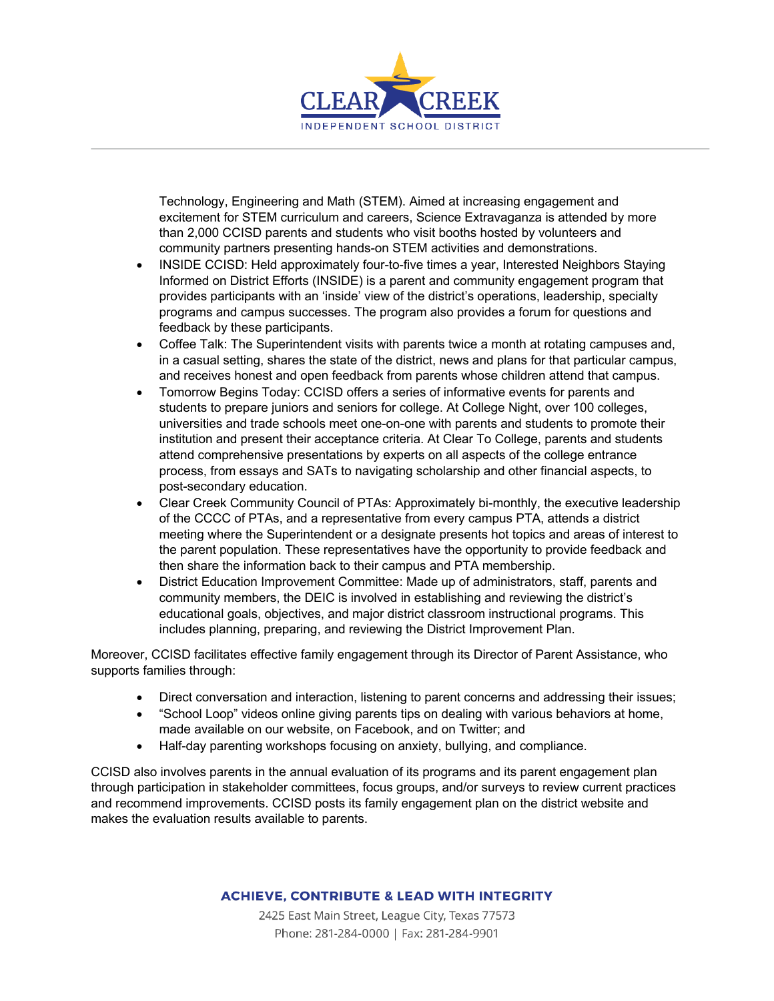

Technology, Engineering and Math (STEM). Aimed at increasing engagement and excitement for STEM curriculum and careers, Science Extravaganza is attended by more than 2,000 CCISD parents and students who visit booths hosted by volunteers and community partners presenting hands-on STEM activities and demonstrations.

- INSIDE CCISD: Held approximately four-to-five times a year, Interested Neighbors Staying Informed on District Efforts (INSIDE) is a parent and community engagement program that provides participants with an 'inside' view of the district's operations, leadership, specialty programs and campus successes. The program also provides a forum for questions and feedback by these participants.
- Coffee Talk: The Superintendent visits with parents twice a month at rotating campuses and, in a casual setting, shares the state of the district, news and plans for that particular campus, and receives honest and open feedback from parents whose children attend that campus.
- Tomorrow Begins Today: CCISD offers a series of informative events for parents and students to prepare juniors and seniors for college. At College Night, over 100 colleges, universities and trade schools meet one-on-one with parents and students to promote their institution and present their acceptance criteria. At Clear To College, parents and students attend comprehensive presentations by experts on all aspects of the college entrance process, from essays and SATs to navigating scholarship and other financial aspects, to post-secondary education.
- Clear Creek Community Council of PTAs: Approximately bi-monthly, the executive leadership of the CCCC of PTAs, and a representative from every campus PTA, attends a district meeting where the Superintendent or a designate presents hot topics and areas of interest to the parent population. These representatives have the opportunity to provide feedback and then share the information back to their campus and PTA membership.
- District Education Improvement Committee: Made up of administrators, staff, parents and community members, the DEIC is involved in establishing and reviewing the district's educational goals, objectives, and major district classroom instructional programs. This includes planning, preparing, and reviewing the District Improvement Plan.

Moreover, CCISD facilitates effective family engagement through its Director of Parent Assistance, who supports families through:

- Direct conversation and interaction, listening to parent concerns and addressing their issues;
- "School Loop" videos online giving parents tips on dealing with various behaviors at home, made available on our website, on Facebook, and on Twitter; and
- Half-day parenting workshops focusing on anxiety, bullying, and compliance.

CCISD also involves parents in the annual evaluation of its programs and its parent engagement plan through participation in stakeholder committees, focus groups, and/or surveys to review current practices and recommend improvements. CCISD posts its family engagement plan on the district website and makes the evaluation results available to parents.

## **ACHIEVE, CONTRIBUTE & LEAD WITH INTEGRITY**

2425 East Main Street, League City, Texas 77573 Phone: 281-284-0000 | Fax: 281-284-9901